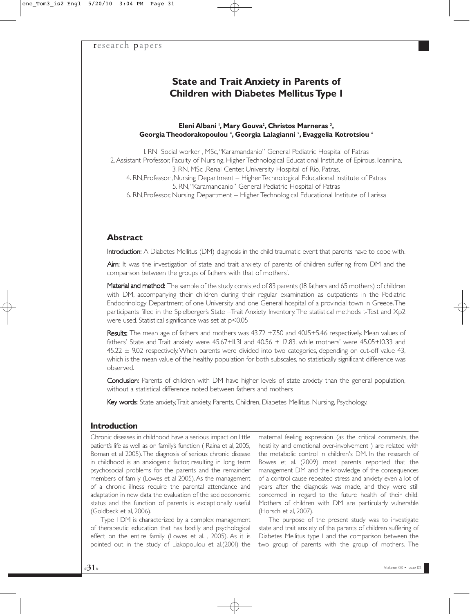# **State and Τrait Anxiety in Parents of Children with Diabetes Mellitus Type I**

### Eleni Albani<sup>1</sup>, Mary Gouva<sup>2</sup>, Christos Marneras<sup>3</sup>, **Georgia Theodorakopoulou 4 , Georgia Lalagianni 5 , Evaggelia Kotrotsiou 6**

1. RN–Social worker , ΜSc, "Karamandanio" General Pediatric Hospital of Patras 2.Assistant Professor, Faculty of Nursing, Higher Technological Educational Institute of Epirous, Ioannina, 3. RN, MSc ,Renal Center, University Hospital of Rio, Patras, 4. RN, Professor, Nursing Department – Higher Technological Educational Institute of Patras 5. RN, "Karamandanio" General Pediatric Hospital of Patras 6. RN, Professor, Nursing Department – Higher Technological Educational Institute of Larissa

# **Abstract**

Introduction: A Diabetes Mellitus (DM) diagnosis in the child traumatic event that parents have to cope with.

Aim: It was the investigation of state and trait anxiety of parents of children suffering from DM and the comparison between the groups of fathers with that of mothers'.

Material and method: The sample of the study consisted of 83 parents (18 fathers and 65 mothers) of children with DM, accompanying their children during their regular examination as outpatients in the Pediatric Endocrinology Department of one University and one General hospital of a provincial town in Greece.The participants filled in the Spielberger's State –Trait Anxiety Inventory.The statistical methods t-Test and Χp2 were used. Statistical significance was set at p<0.05

Results: The mean age of fathers and mothers was 43.72 ±7.50 and 40.15±5.46 respectively. Mean values of fathers' State and Trait anxiety were 45,67 $\pm$ II,3I and 40.56  $\pm$  12.83, while mothers' were 45.05 $\pm$ I0.33 and 45.22 ± 9.02 respectively.When parents were divided into two categories, depending on cut-off value 43, which is the mean value of the healthy population for both subscales, no statistically significant difference was observed.

Conclusion: Parents of children with DM have higher levels of state anxiety than the general population, without a statistical difference noted between fathers and mothers

Key words: State anxiety, Trait anxiety, Parents, Children, Diabetes Mellitus, Nursing, Psychology.

# **Introduction**

Chronic diseases in childhood have a serious impact on little patient's life as well as on family's function ( Raina et al, 2005, Boman et al 2005).The diagnosis of serious chronic disease in childhood is an anxiogenic factor, resulting in long term psychosocial problems for the parents and the remainder members of family (Lowes et al 2005).As the management of a chronic illness require the parental attendance and adaptation in new data the evaluation of the socioeconomic status and the function of parents is exceptionally useful (Goldbeck et al, 2006).

Type I DM is characterized by a complex management of therapeutic education that has bodily and psychological effect on the entire family (Lowes et al. , 2005). As it is pointed out in the study of Liakopoulou et al.(2001) the

maternal feeling expression (as the critical comments, the hostility and emotional over-involvement ) are related with the metabolic control in children's DM. In the research of Bowes et al. (2009) most parents reported that the management DM and the knowledge of the consequences of a control cause repeated stress and anxiety even a lot of years after the diagnosis was made, and they were still concerned in regard to the future health of their child. Mothers of children with DM are particularly vulnerable (Horsch et al, 2007).

The purpose of the present study was to investigate state and trait anxiety of the parents of children suffering of Diabetes Mellitus type I and the comparison between the two group of parents with the group of mothers. Τhe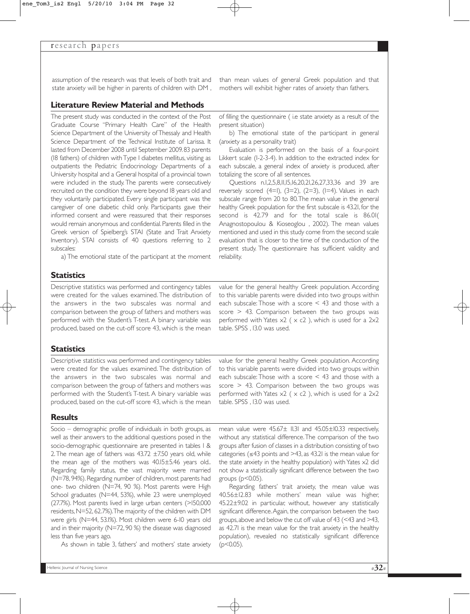#### research papers

assumption of the research was that levels of both trait and than mean values of general Greek population and that state anxiety will be higher in parents of children with DM , mothers will exhibit higher rates of anxiety than fathers.

## **Literature Review Material and Methods**

The present study was conducted in the context of the Post Graduate Course "Primary Health Care" of the Health Science Department of the University of Thessaly and Health Science Department of the Technical Institute of Larissa. It lasted from December 2008 until September 2009. 83 parents (18 fathers) of children with Type I diabetes mellitus, visiting as outpatients the Pediatric Endocrinology Departments of a University hospital and a General hospital of a provincial town were included in the study. The parents were consecutively recruited on the condition they were beyond 18 years old and they voluntarily participated. Every single participant was the caregiver of one diabetic child only. Participants gave their informed consent and were reassured that their responses would remain anonymous and confidential. Parents filled in the Greek version of Spielberg's STAI (State and Trait Anxiety Inventory). STAI consists of 40 questions referring to 2 subscales:

a) The emotional state of the participant at the moment

## **Statistics**

Descriptive statistics was performed and contingency tables were created for the values examined. The distribution of the answers in the two subscales was normal and comparison between the group of fathers and mothers was performed with the Student's T-test. A binary variable was produced, based on the cut-off score 43, which is the mean

of filling the questionnaire ( i.e state anxiety as a result of the present situation)

b) The emotional state of the participant in general (anxiety as a personality trait)

Evaluation is performed on the basis of a four-point Likkert scale (1-2-3-4). In addition to the extracted index for each subscale, a general index of anxiety is produced, after totalizing the score of all sentences.

Questions n.1,2,5,8,11,15,16,20,21,26,27,33,36 and 39 are reversely scored  $(4=1)$ ,  $(3=2)$ ,  $(2=3)$ ,  $(1=4)$ . Values in each subscale range from 20 to 80.The mean value in the general healthy Greek population for the first subscale is 43.21, for the second is 42.79 and for the total scale is 86.01( Anagnostopoulou & Kioseoglou , 2002). The mean values mentioned and used in this study come from the second scale evaluation that is closer to the time of the conduction of the present study. The questionnaire has sufficient validity and reliability.

value for the general healthy Greek population. According to this variable parents were divided into two groups within each subscale: Those with a score < 43 and those with a score > 43. Comparison between the two groups was performed with Yates  $x^2$  ( $x$  c2), which is used for a 2x2 table. SPSS , 13.0 was used.

# **Statistics**

Descriptive statistics was performed and contingency tables were created for the values examined. The distribution of the answers in the two subscales was normal and comparison between the group of fathers and mothers was performed with the Student's T-test. A binary variable was produced, based on the cut-off score 43, which is the mean

#### **Results**

Socio – demographic profile of individuals in both groups, as well as their answers to the additional questions posed in the socio-demographic questionnaire are presented in tables 1 & 2. The mean age of fathers was 43.72 ±7.50 years old, while the mean age of the mothers was 40.15±5.46 years old.. Regarding family status, the vast majority were married (N=78, 94%). Regarding number of children, most parents had one- two children (Ν=74, 90 %). Most parents were High School graduates (N=44, 53%), while 23 were unemployed (27.7%). Most parents lived in large urban centers (>150,000 residents, N=52, 62.7%). The majority of the children with DM were girls (Ν=44, 53.1%). Most children were 6-10 years old and in their majority (N=72, 90 %) the disease was diagnosed less than five years ago.

As shown in table 3, fathers' and mothers' state anxiety

value for the general healthy Greek population. According to this variable parents were divided into two groups within each subscale: Those with a score < 43 and those with a score > 43. Comparison between the two groups was performed with Yates  $x^2$  ( $x$  c2), which is used for a  $2x^2$ table. SPSS , 13.0 was used.

mean value were 45.67± 11.31 and 45.05±10.33 respectively, without any statistical difference.The comparison of the two groups after fusion of classes in a distribution consisting of two categories (≤43 points and >43, as 43.21 is the mean value for the state anxiety in the healthy population) with Yates x2 did not show a statistically significant difference between the two groups ( $p$ <0.05).

Regarding fathers' trait anxiety, the mean value was 40.56±12.83 while mothers' mean value was higher, 45.22±9.02 in particular, without, however any statistically significant difference.Again, the comparison between the two groups, above and below the cut off value of 43 (<43 and >43, as 42.71 is the mean value for the trait anxiety in the healthy population), revealed no statistically significant difference  $(p<0.05)$ .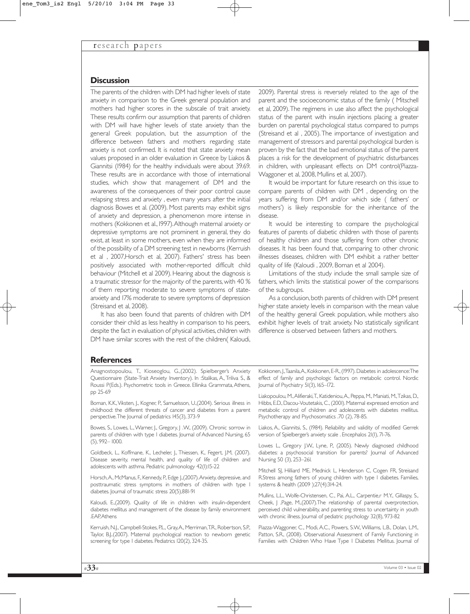### **Discussion**

The parents of the children with DM had higher levels of state anxiety in comparison to the Greek general population and mothers had higher scores in the subscale of trait anxiety. These results confirm our assumption that parents of children with DM will have higher levels of state anxiety than the general Greek population, but the assumption of the difference between fathers and mothers regarding state anxiety is not confirmed. It is noted that state anxiety mean values proposed in an older evaluation in Greece by Liakos & Giannitsi (1984) for the healthy individuals were about 39.69. These results are in accordance with those of international studies, which show that management of DM and the awareness of the consequences of their poor control cause relapsing stress and anxiety , even many years after the initial diagnosis Bowes et al. (2009). Most parents may exhibit signs of anxiety and depression, a phenomenon more intense in mothers (Kokkonen et al., 1997).Although maternal anxiety or depressive symptoms are not prominent in general, they do exist, at least in some mothers, even when they are informed of the possibility of a DM screening test in newborns (Kerruish et al , 2007,Horsch et al, 2007). Fathers' stress has been positively associated with mother-reported difficult child behaviour (Mitchell et al 2009). Hearing about the diagnosis is a traumatic stressor for the majority of the parents, with 40 % of them reporting moderate to severe symptoms of stateanxiety and 17% moderate to severe symptoms of depression (Streisand et al, 2008).

It has also been found that parents of children with DM consider their child as less healthy in comparison to his peers, despite the fact in evaluation of physical activities, children with DM have similar scores with the rest of the children( Kaloudi,

2009). Parental stress is reversely related to the age of the parent and the socioeconomic status of the family ( Mitschell et al, 2009).The regimens in use also affect the psychological status of the parent with insulin injections placing a greater burden on parental psychological status compared to pumps (Streisand et al , 2005). The importance of investigation and management of stressors and parental psychological burden is proven by the fact that the bad emotional status of the parent places a risk for the development of psychiatric disturbances in children, with unpleasant effects on DM control(Piazza-Waggoner et al, 2008, Mullins et al, 2007).

It would be important for future research on this issue to compare parents of children with DM , depending on the years suffering from DM and/or which side ( fathers' or mothers') is likely responsible for the inheritance of the disease.

It would be interesting to compare the psychological features of parents of diabetic children with those of parents of healthy children and those suffering from other chronic diseases. It has been found that, comparing to other chronic illnesses diseases, children with DM exhibit a rather better quality of life (Kaloudi , 2009, Boman et al 2004).

Limitations of the study include the small sample size of fathers, which limits the statistical power of the comparisons of the subgroups.

As a conclusion, both parents of children with DM present higher state anxiety levels in comparison with the mean value of the healthy general Greek population, while mothers also exhibit higher levels of trait anxiety. No statistically significant difference is observed between fathers and mothers.

#### **References**

Anagnostopoulou, Τ., Κioseoglou, G.,(2002). Spielberger's Anxiety Questionnaire (State-Trait Anxiety Inventory). In :Stalikas, A., Triliva S., & Roussi P(Εds.). Psychometric tools in Greece. Ellinika Grammata, Athens, pp 25-69

Boman, K.K.,Viksten, J., Kogner, P., Samuelsson, U.,(2004). Serious illness in childhood: the different threats of cancer and diabetes from a parent perspective. The Journal of pediatrics 145(3), 373-9

Bowes, S., Lowes, L.,Warner, J., Gregory, J .W., (2009). Chronic sorrow in parents of children with type 1 diabetes. Journal of Advanced Nursing, 65 (5), 992– 1000.

Goldbeck, L., Koffmane, K., Lecheler, J., Thiessen, K., Fegert, J.M, (2007). Disease severity, mental health, and quality of life of children and adolescents with asthma. Pediatric pulmonology 42(1):15-22

Horsch,A., McManus, F., Kennedy, P., Edge J.,(2007).Anxiety, depressive, and posttraumatic stress symptoms in mothers of children with type 1 diabetes. Journal of traumatic stress 20(5),881-91

Kaloudi, E.,(2009). Quality of life in children with insulin-dependent diabetes mellitus and management of the disease by family environment .EAP,Athens

Kerruish, N.J., Campbell-Stokes, P.L., Gray,A., Merriman,T.R., Robertson, S.P., Taylor, B.J..(2007). Maternal psychological reaction to newborn genetic screening for type 1 diabetes. Pediatrics 120(2), 324-35.

Kokkonen, J.,Taanila,A., Kokkonen, E-R., (1997). Diabetes in adolescence:The effect of family and psychologic factors on metabolic control. Nordic Journal of Psychiatry 51(3), 165–172.

Liakopoulou, M.,Alifieraki,T., Katideniou,A., Peppa, M., Maniati, M.,Tzikas, D., Hibbs, E.D., Dacou-Voutetakis, C., (2001). Maternal expressed emotion and metabolic control of children and adolescents with diabetes mellitus. Psychotherapy and Psychosomatics .70 (2), 78-85.

Liakos, A., Giannitsi, S., (1984). Reliability and validity of modified Gerrek version of Spielberger's anxiety scale . Encephalos 21(1), 71-76.

Lowes L., Gregory J.W., Lyne, P., (2005). Newly diagnosed childhood diabetes: a psychosocial transition for parents? Journal of Advanced Nursing 50 (3), 253–261.

Mitchell SJ, Hilliard ME, Mednick L, Henderson C, Cogen FR, Streisand R.Stress among fathers of young children with type 1 diabetes. Families, systems & health (2009 );27(4):314-24.

Mullins, L.L., Wolfe-Christensen, C., Pai, A.L., Carpentie,r M.Y., Gillaspy, S., Cheek, J ,Page, M.,(2007).The relationship of parental overprotection, perceived child vulnerability, and parenting stress to uncertainty in youth with chronic illness. Journal of pediatric psychology 32(8), 973-82

Piazza-Waggoner, C., Modi, A.C., Powers, S.W.,Williams, L.B., Dolan, L.M., Patton, S.R., (2008). Observational Assessment of Family Functioning in Families with Children Who Have Type 1 Diabetes Mellitus. Journal of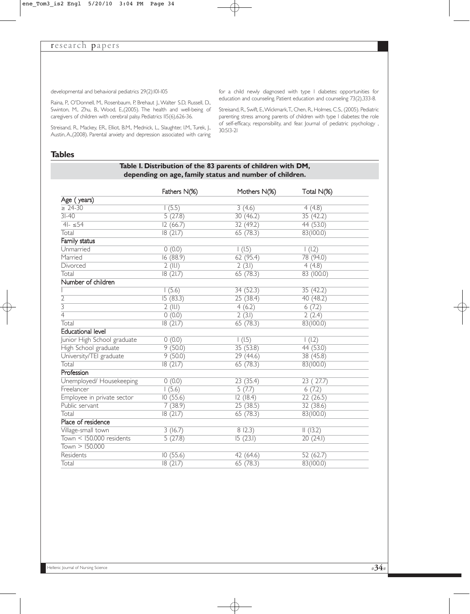developmental and behavioral pediatrics 29(2):101-105

Raina, P., O'Donnell, M., Rosenbaum, P, Brehaut J.,Walter S.D, Russell, D., Swinton, M., Zhu, B., Wood, E.,(2005). The health and well-being of caregivers of children with cerebral palsy. Pediatrics 115(6),626-36.

Streisand, R., Mackey, ER., Elliot, B.M., Mednick, L., Slaughter, I.M., Turek, J., Austin, A.,(2008). Parental anxiety and depression associated with caring

for a child newly diagnosed with type 1 diabetes: opportunities for education and counseling. Patient education and counseling 73(2),333-8.

Streisand, R., Swift, E.,Wickmark,T., Chen, R., Holmes, C.S., (2005). Pediatric parenting stress among parents of children with type 1 diabetes: the role of self-efficacy, responsibility, and fear. Journal of pediatric psychology , 30:513-21

#### **Tables**

# **Table 1. Distribution of the 83 parents of children with DM, depending on age, family status and number of children.**

|                             | Fathers N(%) | Mothers N(%)        | Total N(%)          |
|-----------------------------|--------------|---------------------|---------------------|
| Age (years)                 |              |                     |                     |
| $\geq 24 - 30$              | (5.5)        | 3(4.6)              | 4(4.8)              |
| $3I-40$                     | 5(27.8)      | 30(46.2)            | 35(42.2)            |
| $41 - 54$                   | 12(66.7)     | 32(49.2)            | 44 (53.0)           |
| Total                       | 18(21.7)     | 65(78.3)            | 83(100.0)           |
| Family status               |              |                     |                     |
| Unmarried                   | 0(0.0)       | $\overline{1(1.5)}$ | $\overline{1(1.2)}$ |
| Married                     | 16(88.9)     | 62(95.4)            | 78 (94.0)           |
| Divorced                    | $2$ (II.I)   | 2(3.1)              | 4(4.8)              |
| Total                       | 18(21.7)     | 65(78.3)            | 83 (100.0)          |
| Number of children          |              |                     |                     |
|                             | (5.6)        | 34(52.3)            | 35(42.2)            |
| $\overline{2}$              | 15(83.3)     | 25(38.4)            | 40(48.2)            |
| $\overline{3}$              | $2$ (II.I)   | 4(6.2)              | 6(7.2)              |
| $\overline{4}$              | 0(0.0)       | 2(3.1)              | 2(2.4)              |
| Total                       | 18(21.7)     | 65(78.3)            | 83(100.0)           |
| <b>Educational level</b>    |              |                     |                     |
| Junior High School graduate | 0(0.0)       | 1(1.5)              | (1.2)               |
| High School graduate        | 9(50.0)      | 35(53.8)            | 44 (53.0)           |
| University/TEI graduate     | 9(50.0)      | 29(44.6)            | 38 (45.8)           |
| Total                       | 18(21.7)     | 65(78.3)            | 83(100.0)           |
| Profession                  |              |                     |                     |
| Unemployed/ Housekeeping    | 0(0.0)       | 23(35.4)            | 23(27.7)            |
| Freelancer                  | (5.6)        | 5(7.7)              | 6(7.2)              |
| Employee in private sector  | 10(55.6)     | 12(18.4)            | 22(26.5)            |
| Public servant              | 7(38.9)      | 25(38.5)            | 32(38.6)            |
| Total                       | 18(21.7)     | 65(78.3)            | 83(100.0)           |
| Place of residence          |              |                     |                     |
| Village-small town          | 3(16.7)      | 8(12.3)             | (13.2)              |
| $Town < 150.000$ residents  | 5(27.8)      | 15(23.1)            | 20(24.1)            |
| T <sub>own</sub> > 150.000  |              |                     |                     |
| Residents                   | 10(55.6)     | 42 (64.6)           | 52(62.7)            |
| Total                       | 18(21.7)     | 65(78.3)            | 83(100.0)           |